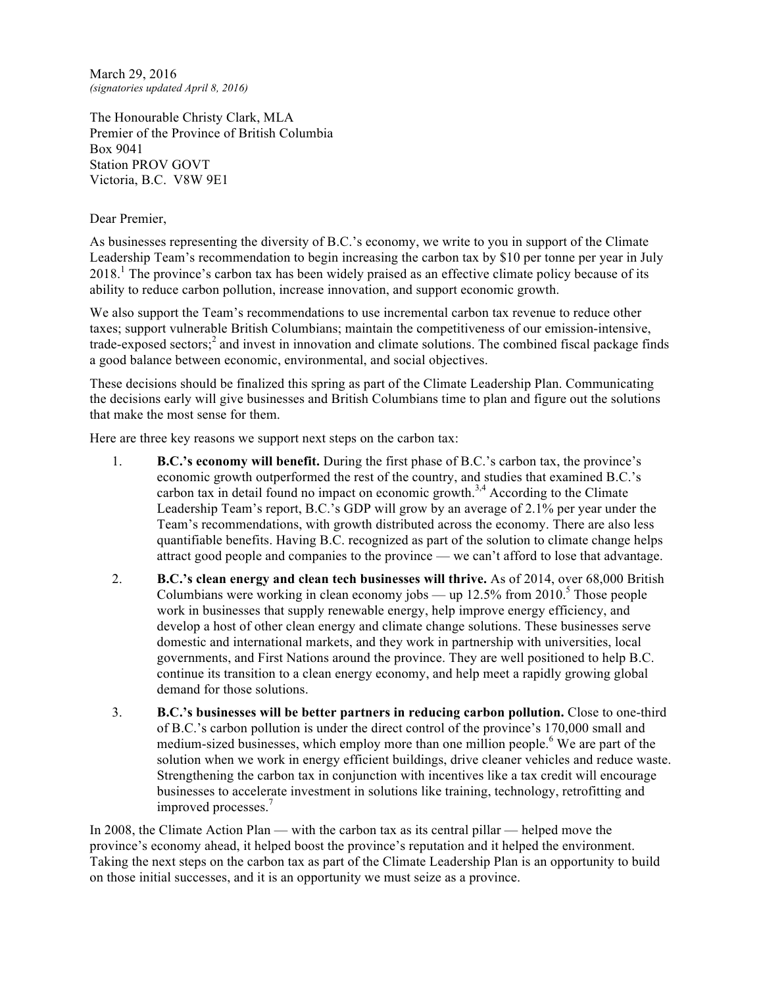March 29, 2016 *(signatories updated April 8, 2016)*

The Honourable Christy Clark, MLA Premier of the Province of British Columbia Box 9041 Station PROV GOVT Victoria, B.C. V8W 9E1

## Dear Premier,

As businesses representing the diversity of B.C.'s economy, we write to you in support of the Climate Leadership Team's recommendation to begin increasing the carbon tax by \$10 per tonne per year in July 2018.<sup>1</sup> The province's carbon tax has been widely praised as an effective climate policy because of its ability to reduce carbon pollution, increase innovation, and support economic growth.

We also support the Team's recommendations to use incremental carbon tax revenue to reduce other taxes; support vulnerable British Columbians; maintain the competitiveness of our emission-intensive, trade-exposed sectors; <sup>2</sup> and invest in innovation and climate solutions. The combined fiscal package finds a good balance between economic, environmental, and social objectives.

These decisions should be finalized this spring as part of the Climate Leadership Plan. Communicating the decisions early will give businesses and British Columbians time to plan and figure out the solutions that make the most sense for them.

Here are three key reasons we support next steps on the carbon tax:

- 1. **B.C.'s economy will benefit.** During the first phase of B.C.'s carbon tax, the province's economic growth outperformed the rest of the country, and studies that examined B.C.'s carbon tax in detail found no impact on economic growth.<sup>3,4</sup> According to the Climate Leadership Team's report, B.C.'s GDP will grow by an average of 2.1% per year under the Team's recommendations, with growth distributed across the economy. There are also less quantifiable benefits. Having B.C. recognized as part of the solution to climate change helps attract good people and companies to the province — we can't afford to lose that advantage.
- 2. **B.C.'s clean energy and clean tech businesses will thrive.** As of 2014, over 68,000 British Columbians were working in clean economy jobs — up  $12.5\%$  from  $2010<sup>5</sup>$  Those people work in businesses that supply renewable energy, help improve energy efficiency, and develop a host of other clean energy and climate change solutions. These businesses serve domestic and international markets, and they work in partnership with universities, local governments, and First Nations around the province. They are well positioned to help B.C. continue its transition to a clean energy economy, and help meet a rapidly growing global demand for those solutions.
- 3. **B.C.'s businesses will be better partners in reducing carbon pollution.** Close to one-third of B.C.'s carbon pollution is under the direct control of the province's 170,000 small and medium-sized businesses, which employ more than one million people.<sup>6</sup> We are part of the solution when we work in energy efficient buildings, drive cleaner vehicles and reduce waste. Strengthening the carbon tax in conjunction with incentives like a tax credit will encourage businesses to accelerate investment in solutions like training, technology, retrofitting and improved processes.<sup>7</sup>

In 2008, the Climate Action Plan — with the carbon tax as its central pillar — helped move the province's economy ahead, it helped boost the province's reputation and it helped the environment. Taking the next steps on the carbon tax as part of the Climate Leadership Plan is an opportunity to build on those initial successes, and it is an opportunity we must seize as a province.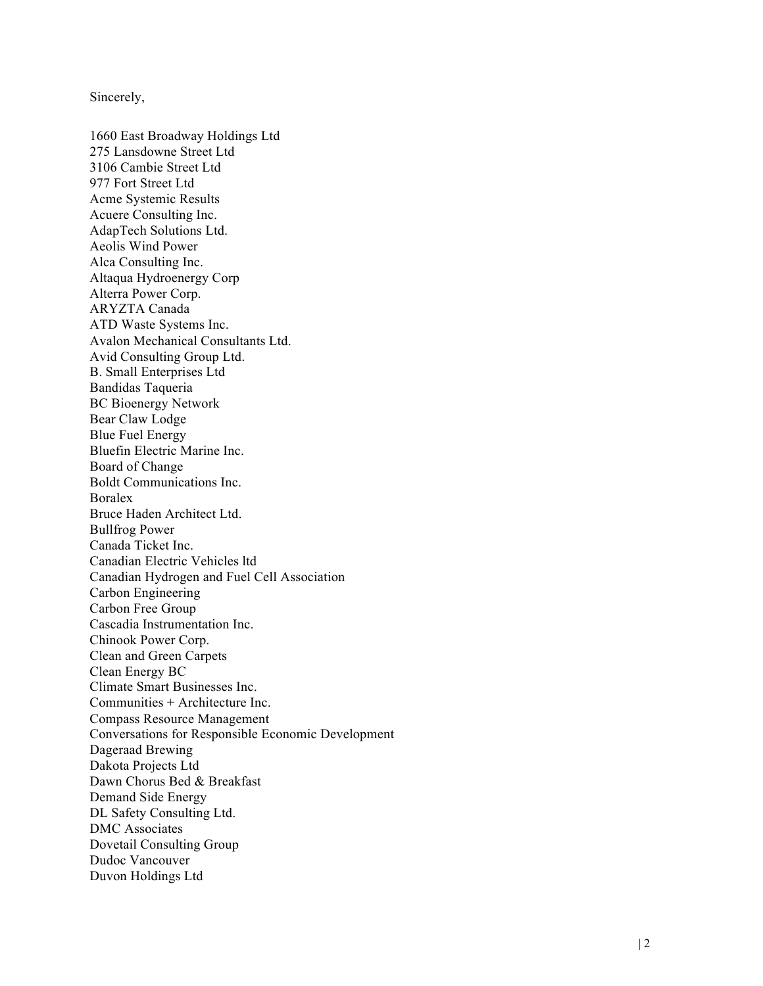Sincerely,

1660 East Broadway Holdings Ltd 275 Lansdowne Street Ltd 3106 Cambie Street Ltd 977 Fort Street Ltd Acme Systemic Results Acuere Consulting Inc. AdapTech Solutions Ltd. Aeolis Wind Power Alca Consulting Inc. Altaqua Hydroenergy Corp Alterra Power Corp. ARYZTA Canada ATD Waste Systems Inc. Avalon Mechanical Consultants Ltd. Avid Consulting Group Ltd. B. Small Enterprises Ltd Bandidas Taqueria BC Bioenergy Network Bear Claw Lodge Blue Fuel Energy Bluefin Electric Marine Inc. Board of Change Boldt Communications Inc. Boralex Bruce Haden Architect Ltd. Bullfrog Power Canada Ticket Inc. Canadian Electric Vehicles ltd Canadian Hydrogen and Fuel Cell Association Carbon Engineering Carbon Free Group Cascadia Instrumentation Inc. Chinook Power Corp. Clean and Green Carpets Clean Energy BC Climate Smart Businesses Inc. Communities + Architecture Inc. Compass Resource Manag ement Conversations for Responsible Economic Development Dageraad Brewing Dakota Projects Ltd Dawn Chorus Bed & Breakfast Demand Side Energy DL Safety Consulting Ltd. DMC Associates Dovetail Consulting Group Dudoc Vancouver Duvon Holdings Ltd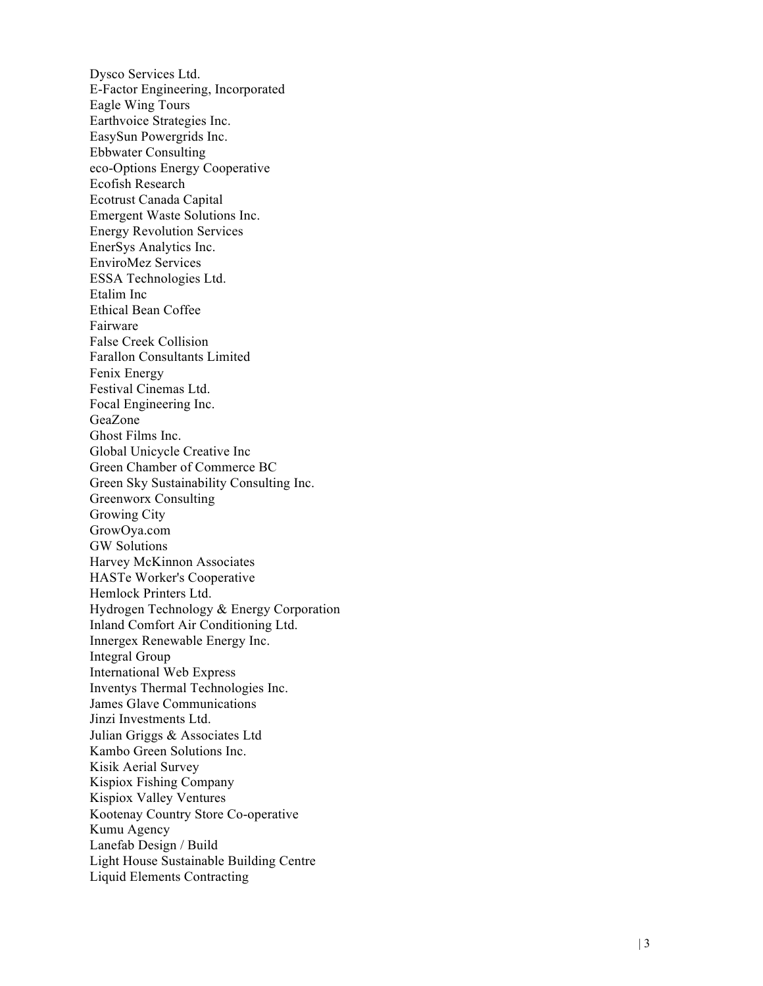Dysco Services Ltd. E-Factor Engineering, Incorporated Eagle Wing Tours Earthvoice Strategies Inc. EasySun Powergrids Inc. Ebbwater Consulting eco -Options Energy Cooperative Ecofish Research Ecotrust Canada Capital Emergent Waste Solutions Inc. Energy Revolution Services EnerSys Analytics Inc. EnviroMez Services ESSA Technologies Ltd. Etalim Inc Ethical Bean Coffee Fairware False Creek Collision Farallon Consultants Limited Fenix Energy Festival Cinemas Ltd. Focal Engineering Inc. GeaZone Ghost Films Inc. Global Unicycle Creative Inc Green Chamber of Commerce BC Green Sky Sustainability Consulting Inc. Greenworx Consulting Growing City GrowOya.com GW Solutions Harvey McKinnon Associates HASTe Worker's Cooperative Hemlock Printers Ltd. Hydrogen Technology & Energy Corporation Inland Comfort Air Conditioning Ltd. Innergex Renewable Energy Inc. Integral Group International Web Express Inventys Thermal Technologies Inc. James Glave Communications Jinzi Investments Ltd. Julian Griggs & Associates Ltd Kambo Green Solutions Inc. Kisik Aerial Survey Kispiox Fishing Company Kispiox Valley Ventures Kootenay Country Store Co -operative Kumu Agency Lanefab Design / Build Light House Sustainable Building Centre Liquid Elements Contracting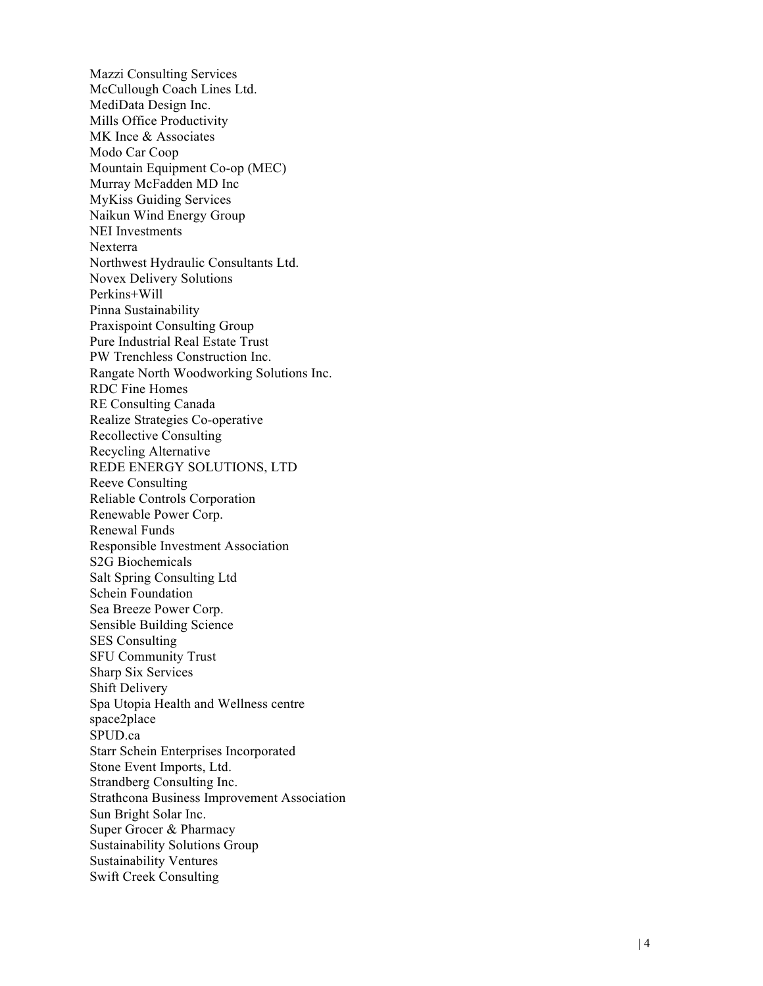Mazzi Consulting Services McCullough Coach Lines Ltd. MediData Design Inc. Mills Office Productivity MK Ince & Associates Modo Car Coop Mountain Equipment Co -op (MEC) Murray McFadden MD Inc MyKiss Guiding Services Naikun Wind Energy Group NEI Investments Nexterra Northwest Hydraulic Consultants Ltd. Novex Delivery Solutions Perkins+Will Pinna Sustainability Praxispoint Consulting Group Pure Industrial Real Estate Trust PW Trenchless Construction Inc. Rangate North Woodworking Solutions Inc. RDC Fine Homes RE Consulting Canada Realize Strategies Co -operative Recollective Consulting Recycling Alternative REDE ENERGY SOLUTIONS, LTD Reeve Consulting Reliable Controls Corporatio n Renewable Power Corp. Renewal Funds Responsible Investment Association S2G Biochemicals Salt Spring Consulting Ltd Schein Foundation Sea Breeze Power Corp. Sensible Building Science SES Consulting SFU Community Trust Sharp Six Services Shift Delivery Spa Utopia Health and Wellness centre space2place SPUD.ca Starr Schein Enterprises Incorporated Stone Event Imports, Ltd. Strandberg Consulting Inc. Strathcona Business Improvement Association Sun Bright Solar Inc. Super Grocer & Pharmacy Sustainability Solutions Group Sustainability Ventures Swift Creek Consulting